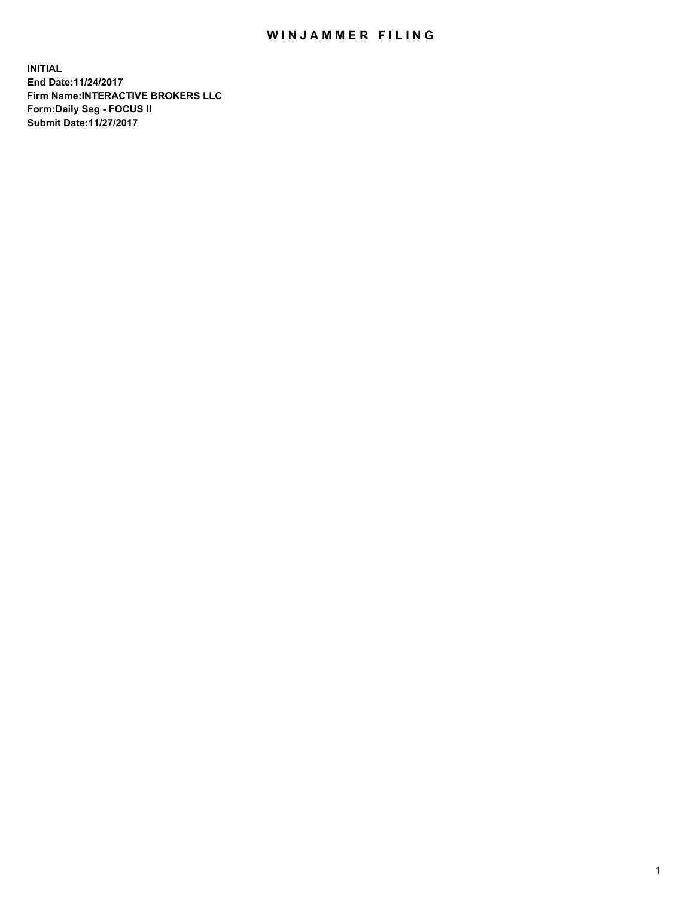## WIN JAMMER FILING

**INITIAL End Date:11/24/2017 Firm Name:INTERACTIVE BROKERS LLC Form:Daily Seg - FOCUS II Submit Date:11/27/2017**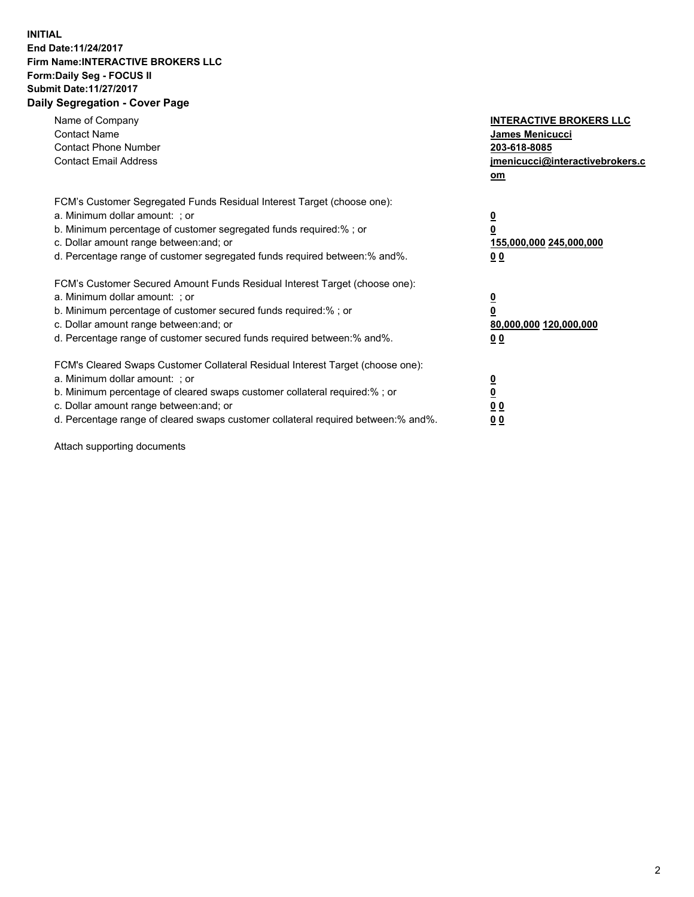## **INITIAL End Date:11/24/2017 Firm Name:INTERACTIVE BROKERS LLC Form:Daily Seg - FOCUS II Submit Date:11/27/2017 Daily Segregation - Cover Page**

| Name of Company<br><b>Contact Name</b><br><b>Contact Phone Number</b><br><b>Contact Email Address</b>                                                                                                                                                                                                                          | <b>INTERACTIVE BROKERS LLC</b><br><b>James Menicucci</b><br>203-618-8085<br>jmenicucci@interactivebrokers.c<br>om |
|--------------------------------------------------------------------------------------------------------------------------------------------------------------------------------------------------------------------------------------------------------------------------------------------------------------------------------|-------------------------------------------------------------------------------------------------------------------|
| FCM's Customer Segregated Funds Residual Interest Target (choose one):<br>a. Minimum dollar amount: ; or<br>b. Minimum percentage of customer segregated funds required:%; or<br>c. Dollar amount range between: and; or<br>d. Percentage range of customer segregated funds required between:% and%.                          | $\overline{\mathbf{0}}$<br>0<br>155,000,000 245,000,000<br>0 <sub>0</sub>                                         |
| FCM's Customer Secured Amount Funds Residual Interest Target (choose one):<br>a. Minimum dollar amount: ; or<br>b. Minimum percentage of customer secured funds required:%; or<br>c. Dollar amount range between: and; or<br>d. Percentage range of customer secured funds required between: % and %.                          | $\overline{\mathbf{0}}$<br>0<br>80,000,000 120,000,000<br>0 <sub>0</sub>                                          |
| FCM's Cleared Swaps Customer Collateral Residual Interest Target (choose one):<br>a. Minimum dollar amount: ; or<br>b. Minimum percentage of cleared swaps customer collateral required:% ; or<br>c. Dollar amount range between: and; or<br>d. Percentage range of cleared swaps customer collateral required between:% and%. | $\overline{\mathbf{0}}$<br>$\overline{\mathbf{0}}$<br>0 <sub>0</sub><br><u>00</u>                                 |

Attach supporting documents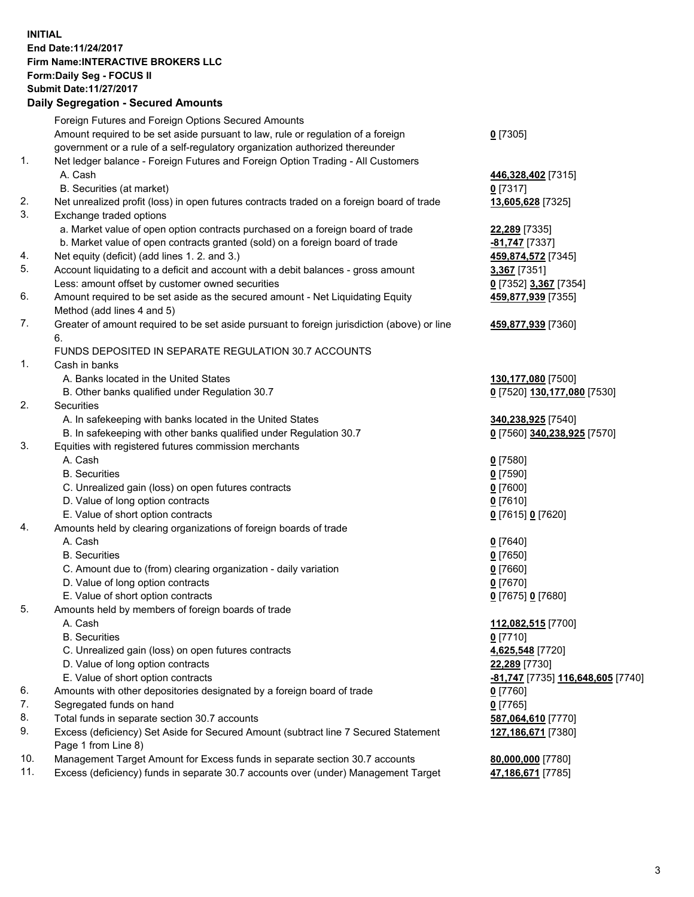## **INITIAL End Date:11/24/2017 Firm Name:INTERACTIVE BROKERS LLC Form:Daily Seg - FOCUS II Submit Date:11/27/2017 Daily Segregation - Secured Amounts**

|     | Daily Segregation - Secured Amounts                                                                        |                                   |
|-----|------------------------------------------------------------------------------------------------------------|-----------------------------------|
|     | Foreign Futures and Foreign Options Secured Amounts                                                        |                                   |
|     | Amount required to be set aside pursuant to law, rule or regulation of a foreign                           | $0$ [7305]                        |
|     | government or a rule of a self-regulatory organization authorized thereunder                               |                                   |
| 1.  | Net ledger balance - Foreign Futures and Foreign Option Trading - All Customers                            |                                   |
|     | A. Cash                                                                                                    | 446,328,402 [7315]                |
|     | B. Securities (at market)                                                                                  | $0$ [7317]                        |
| 2.  | Net unrealized profit (loss) in open futures contracts traded on a foreign board of trade                  | 13,605,628 [7325]                 |
| 3.  | Exchange traded options                                                                                    |                                   |
|     | a. Market value of open option contracts purchased on a foreign board of trade                             | 22,289 [7335]                     |
|     | b. Market value of open contracts granted (sold) on a foreign board of trade                               | -81,747 [7337]                    |
| 4.  | Net equity (deficit) (add lines 1.2. and 3.)                                                               | 459,874,572 [7345]                |
| 5.  | Account liquidating to a deficit and account with a debit balances - gross amount                          | 3,367 [7351]                      |
|     | Less: amount offset by customer owned securities                                                           | 0 [7352] 3,367 [7354]             |
| 6.  | Amount required to be set aside as the secured amount - Net Liquidating Equity                             | 459,877,939 [7355]                |
|     | Method (add lines 4 and 5)                                                                                 |                                   |
| 7.  | Greater of amount required to be set aside pursuant to foreign jurisdiction (above) or line                | 459,877,939 [7360]                |
|     | 6.                                                                                                         |                                   |
|     | FUNDS DEPOSITED IN SEPARATE REGULATION 30.7 ACCOUNTS                                                       |                                   |
| 1.  | Cash in banks                                                                                              |                                   |
|     | A. Banks located in the United States                                                                      | 130,177,080 [7500]                |
|     | B. Other banks qualified under Regulation 30.7                                                             | 0 [7520] 130,177,080 [7530]       |
| 2.  | Securities                                                                                                 |                                   |
|     | A. In safekeeping with banks located in the United States                                                  | 340,238,925 [7540]                |
|     | B. In safekeeping with other banks qualified under Regulation 30.7                                         | 0 [7560] 340,238,925 [7570]       |
| 3.  | Equities with registered futures commission merchants                                                      |                                   |
|     | A. Cash                                                                                                    | $0$ [7580]                        |
|     | <b>B.</b> Securities                                                                                       | $0$ [7590]                        |
|     | C. Unrealized gain (loss) on open futures contracts                                                        | $0$ [7600]                        |
|     | D. Value of long option contracts                                                                          | $0$ [7610]                        |
|     | E. Value of short option contracts                                                                         | 0 [7615] 0 [7620]                 |
| 4.  | Amounts held by clearing organizations of foreign boards of trade                                          |                                   |
|     | A. Cash                                                                                                    | $0$ [7640]                        |
|     | <b>B.</b> Securities                                                                                       | $0$ [7650]                        |
|     | C. Amount due to (from) clearing organization - daily variation                                            | $0$ [7660]                        |
|     | D. Value of long option contracts                                                                          | $0$ [7670]                        |
|     | E. Value of short option contracts                                                                         | 0 [7675] 0 [7680]                 |
| 5.  | Amounts held by members of foreign boards of trade                                                         |                                   |
|     | A. Cash                                                                                                    | 112,082,515 [7700]                |
|     | <b>B.</b> Securities                                                                                       | $0$ [7710]                        |
|     | C. Unrealized gain (loss) on open futures contracts                                                        | 4,625,548 [7720]                  |
|     | D. Value of long option contracts                                                                          | 22,289 [7730]                     |
|     | E. Value of short option contracts                                                                         | -81,747 [7735] 116,648,605 [7740] |
| 6.  | Amounts with other depositories designated by a foreign board of trade                                     | 0 [7760]                          |
| 7.  | Segregated funds on hand                                                                                   | $0$ [7765]                        |
| 8.  | Total funds in separate section 30.7 accounts                                                              | 587,064,610 [7770]                |
| 9.  | Excess (deficiency) Set Aside for Secured Amount (subtract line 7 Secured Statement<br>Page 1 from Line 8) | 127,186,671 [7380]                |
| 10. | Management Target Amount for Excess funds in separate section 30.7 accounts                                | 80,000,000 [7780]                 |
| 11. | Excess (deficiency) funds in separate 30.7 accounts over (under) Management Target                         | 47,186,671 [7785]                 |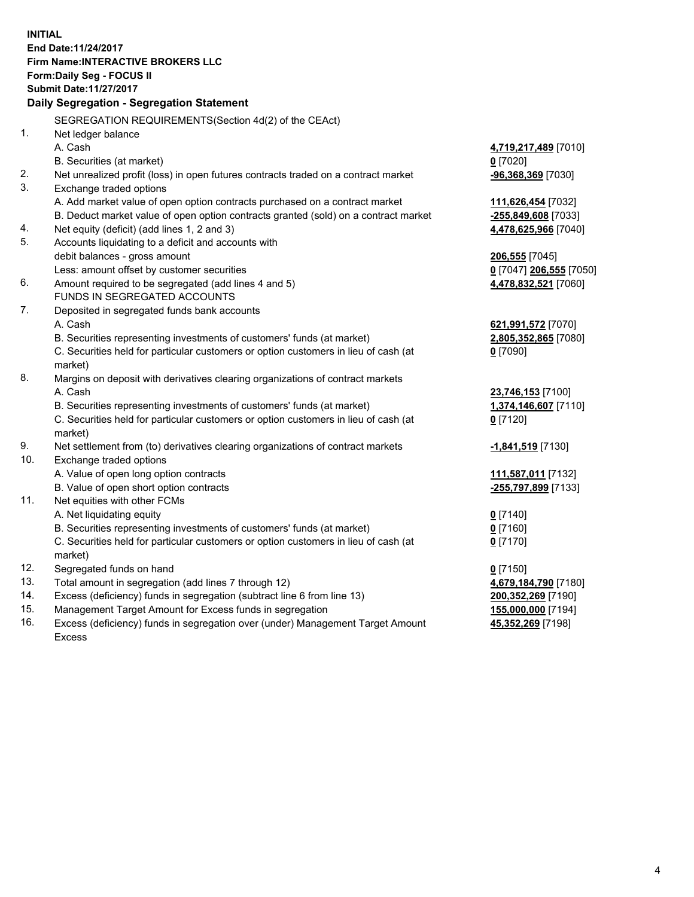**INITIAL End Date:11/24/2017 Firm Name:INTERACTIVE BROKERS LLC Form:Daily Seg - FOCUS II Submit Date:11/27/2017 Daily Segregation - Segregation Statement** SEGREGATION REQUIREMENTS(Section 4d(2) of the CEAct) 1. Net ledger balance A. Cash **4,719,217,489** [7010] B. Securities (at market) **0** [7020] 2. Net unrealized profit (loss) in open futures contracts traded on a contract market **-96,368,369** [7030] 3. Exchange traded options A. Add market value of open option contracts purchased on a contract market **111,626,454** [7032] B. Deduct market value of open option contracts granted (sold) on a contract market **-255,849,608** [7033] 4. Net equity (deficit) (add lines 1, 2 and 3) **4,478,625,966** [7040] 5. Accounts liquidating to a deficit and accounts with debit balances - gross amount **206,555** [7045] Less: amount offset by customer securities **0** [7047] **206,555** [7050] 6. Amount required to be segregated (add lines 4 and 5) **4,478,832,521** [7060] FUNDS IN SEGREGATED ACCOUNTS 7. Deposited in segregated funds bank accounts A. Cash **621,991,572** [7070] B. Securities representing investments of customers' funds (at market) **2,805,352,865** [7080] C. Securities held for particular customers or option customers in lieu of cash (at market) **0** [7090] 8. Margins on deposit with derivatives clearing organizations of contract markets A. Cash **23,746,153** [7100] B. Securities representing investments of customers' funds (at market) **1,374,146,607** [7110] C. Securities held for particular customers or option customers in lieu of cash (at market) **0** [7120] 9. Net settlement from (to) derivatives clearing organizations of contract markets **-1,841,519** [7130] 10. Exchange traded options A. Value of open long option contracts **111,587,011** [7132] B. Value of open short option contracts **-255,797,899** [7133] 11. Net equities with other FCMs A. Net liquidating equity **0** [7140] B. Securities representing investments of customers' funds (at market) **0** [7160] C. Securities held for particular customers or option customers in lieu of cash (at market) **0** [7170] 12. Segregated funds on hand **0** [7150] 13. Total amount in segregation (add lines 7 through 12) **4,679,184,790** [7180] 14. Excess (deficiency) funds in segregation (subtract line 6 from line 13) **200,352,269** [7190] 15. Management Target Amount for Excess funds in segregation **155,000,000** [7194]

16. Excess (deficiency) funds in segregation over (under) Management Target Amount Excess

**45,352,269** [7198]